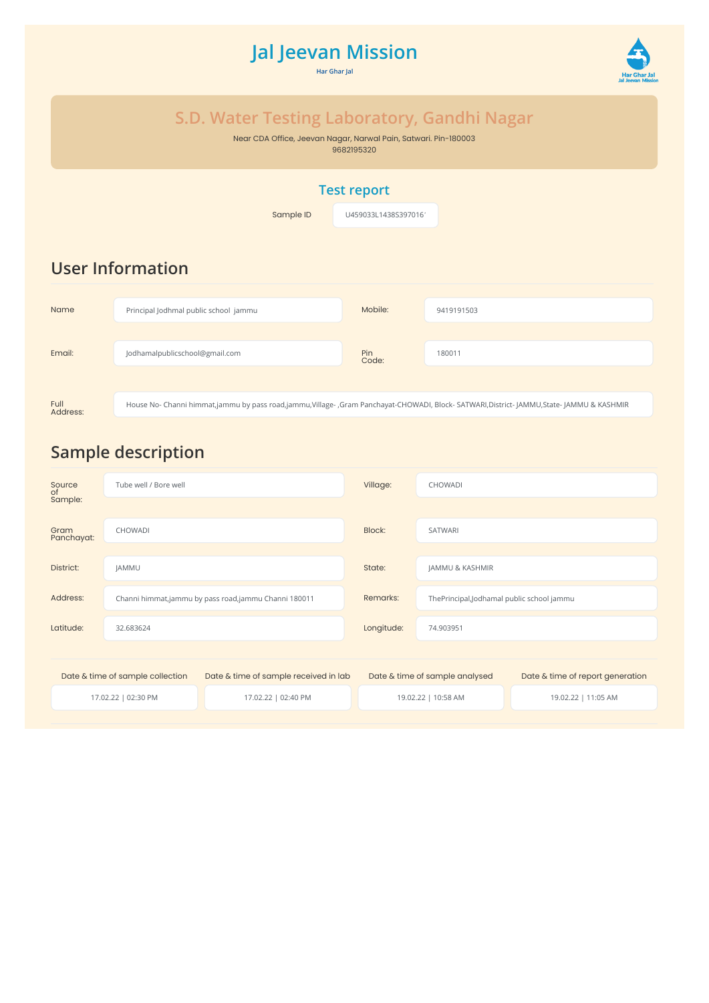# **Jal Jeevan Mission**

**Har Ghar Jal**



## **S.D. Water Testing Laboratory, Gandhi Nagar**

Near CDA Office, Jeevan Nagar, Narwal Pain, Satwari. Pin-180003 9682195320

### **Test report**

**Sample ID** U459033L1438S3970161

## **User Information**

| <b>Name</b> | Principal Jodhmal public school jammu                                                                                                | Mobile:             | 9419191503 |  |  |  |
|-------------|--------------------------------------------------------------------------------------------------------------------------------------|---------------------|------------|--|--|--|
| Email:      | Jodhamalpublicschool@gmail.com                                                                                                       | <b>Pin</b><br>Code: | 180011     |  |  |  |
|             |                                                                                                                                      |                     |            |  |  |  |
| <b>Full</b> | House No- Channi himmat,jammu by pass road,jammu,Village-,Gram Panchayat-CHOWADI, Block-SATWARI,District-JAMMU,State-JAMMU & KASHMIR |                     |            |  |  |  |

# **Sample description**

Address:

| Source<br>of                     | Tube well / Bore well |                                                      | Village:   | <b>CHOWADI</b>                            |                                  |  |
|----------------------------------|-----------------------|------------------------------------------------------|------------|-------------------------------------------|----------------------------------|--|
| Sample:                          |                       |                                                      |            |                                           |                                  |  |
| Gram<br>Panchayat:               | <b>CHOWADI</b>        |                                                      | Block:     | <b>SATWARI</b>                            |                                  |  |
|                                  |                       |                                                      |            |                                           |                                  |  |
| District:                        | JAMMU                 |                                                      | State:     | JAMMU & KASHMIR                           |                                  |  |
| Address:                         |                       | Channi himmat,jammu by pass road,jammu Channi 180011 | Remarks:   | ThePrincipal,Jodhamal public school jammu |                                  |  |
| Latitude:                        | 32.683624             |                                                      | Longitude: | 74.903951                                 |                                  |  |
|                                  |                       |                                                      |            |                                           |                                  |  |
| Date & time of sample collection |                       | Date & time of sample received in lab                |            | Date & time of sample analysed            | Date & time of report generation |  |
| 17.02.22   02:30 PM              |                       | 17.02.22   02:40 PM                                  |            | 19.02.22   10:58 AM                       | 19.02.22   11:05 AM              |  |
|                                  |                       |                                                      |            |                                           |                                  |  |